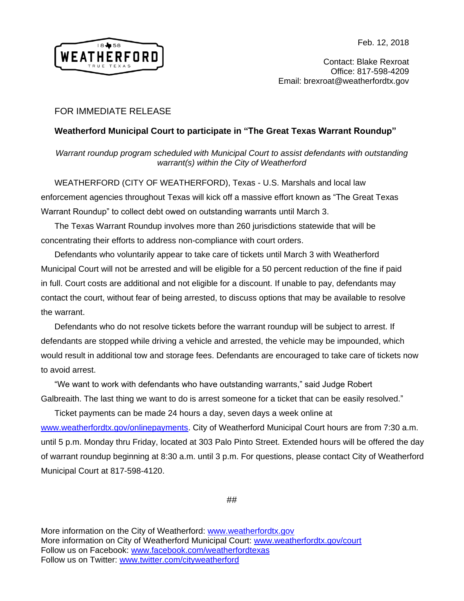

Contact: Blake Rexroat Office: 817-598-4209 Email: brexroat@weatherfordtx.gov

## FOR IMMEDIATE RELEASE

## **Weatherford Municipal Court to participate in "The Great Texas Warrant Roundup"**

*Warrant roundup program scheduled with Municipal Court to assist defendants with outstanding warrant(s) within the City of Weatherford*

WEATHERFORD (CITY OF WEATHERFORD), Texas - U.S. Marshals and local law enforcement agencies throughout Texas will kick off a massive effort known as "The Great Texas Warrant Roundup" to collect debt owed on outstanding warrants until March 3.

The Texas Warrant Roundup involves more than 260 jurisdictions statewide that will be concentrating their efforts to address non-compliance with court orders.

Defendants who voluntarily appear to take care of tickets until March 3 with Weatherford Municipal Court will not be arrested and will be eligible for a 50 percent reduction of the fine if paid in full. Court costs are additional and not eligible for a discount. If unable to pay, defendants may contact the court, without fear of being arrested, to discuss options that may be available to resolve the warrant.

Defendants who do not resolve tickets before the warrant roundup will be subject to arrest. If defendants are stopped while driving a vehicle and arrested, the vehicle may be impounded, which would result in additional tow and storage fees. Defendants are encouraged to take care of tickets now to avoid arrest.

"We want to work with defendants who have outstanding warrants," said Judge Robert Galbreaith. The last thing we want to do is arrest someone for a ticket that can be easily resolved."

Ticket payments can be made 24 hours a day, seven days a week online at [www.weatherfordtx.gov/onlinepayments.](http://www.weatherfordtx.gov/onlinepayments) City of Weatherford Municipal Court hours are from 7:30 a.m. until 5 p.m. Monday thru Friday, located at 303 Palo Pinto Street. Extended hours will be offered the day of warrant roundup beginning at 8:30 a.m. until 3 p.m. For questions, please contact City of Weatherford Municipal Court at 817-598-4120.

##

More information on the City of Weatherford: [www.weatherfordtx.gov](http://www.weatherfordtx.gov/) More information on City of Weatherford Municipal Court: [www.weatherfordtx.gov/court](http://www.weatherfordtx.gov/court) Follow us on Facebook: [www.facebook.com/weatherfordtexas](http://link.email.dynect.net/link.php?DynEngagement=true&H=%2Bdu7sJaY23OO%2BqQ6mC2QqglzHYl8onDna9bYv0z8S%2B2c1yLWI1mxfsRrLqIm7kf%2BYR%2FRVnKh3sG%2B1q5M31j%2BAfFK2dmkONhirJqylmfSMF7KaCFAh2nA21o9mGkJbrKB&G=0&R=www.facebook.com%2Fweatherfordtexas&I=20180212173622.0000012ddc89%40mail6-59-ussnn1&X=MHwxMDQ2NzU4OjVhODFkMDkyZDJjNzBmOTBmYzM5NGNjYzs%3D&S=Z-h_wfWmkNuHXRZGgd50rkjZA8eNAvmLYcV8XlN7zqM) Follow us on Twitter: [www.twitter.com/cityweatherford](http://link.email.dynect.net/link.php?DynEngagement=true&H=%2Bdu7sJaY23OO%2BqQ6mC2QqglzHYl8onDna9bYv0z8S%2B2c1yLWI1mxfsRrLqIm7kf%2BYR%2FRVnKh3sG%2B1q5M31j%2BAfFK2dmkONhirJqylmfSMF7KaCFAh2nA21o9mGkJbrKB&G=0&R=www.twitter.com%2Fcityweatherford&I=20180212173622.0000012ddc89%40mail6-59-ussnn1&X=MHwxMDQ2NzU4OjVhODFkMDkyZDJjNzBmOTBmYzM5NGNjYzs%3D&S=8T-r6rXAjGZfqqha15IwpDWht6q-ZcjWSf-JTz3fi8Y)